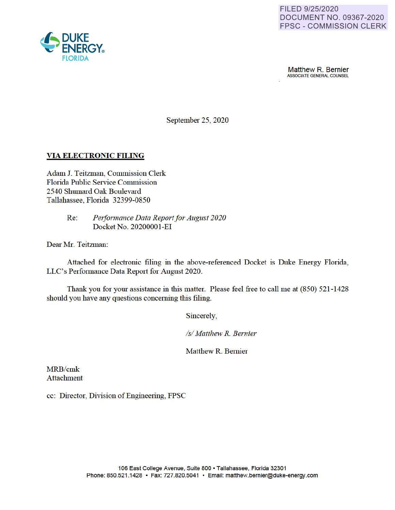

**Matthew R. Bernier**<br>ASSOCIATE GENERAL COUNSEL

September 25, 2020

# **VIA ELECTRONIC FILING**

Adam J. Teitzman, Commission Clerk Florida Public Service Commission 2540 Shumard Oak Boulevard Tallahassee, Florida 32399-0850

> Re: *Performance Data Report for August 2020*  Docket No. 20200001-EI

Dear Mr. Teitzman:

Attached for electronic filing in the above-referenced Docket is Duke Energy Florida, LLC's Performance Data Report for August 2020.

Thank you for your assistance in this matter. Please feel free to call me at (850) 521-1428 should you have any questions concerning this filing.

Sincerely

*Isl Matthew R. Bernier* 

Matthew R. Bernier

MRB/cmk Attachment

cc: Director, Division of Engineering, FPSC

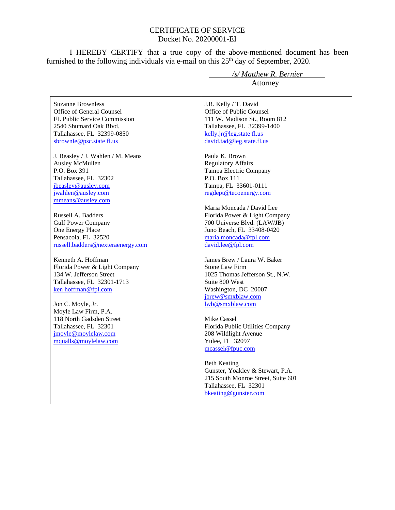#### CERTIFICATE OF SERVICE Docket No. 20200001-EI

I HEREBY CERTIFY that a true copy of the above-mentioned document has been furnished to the following individuals via e-mail on this  $25<sup>th</sup>$  day of September, 2020.

Suzanne Brownless Office of General Counsel FL Public Service Commission 2540 Shumard Oak Blvd. Tallahassee, FL 32399-0850 sbrownle@psc.state fl.us

J. Beasley / J. Wahlen / M. Means Ausley McMullen P.O. Box 391 Tallahassee, FL 32302 jbeasley@ausley.com jwahlen@ausley.com mmeans@ausley.com

Russell A. Badders Gulf Power Company One Energy Place Pensacola, FL 32520 russell.badders@nexteraenergy.com

Kenneth A. Hoffman Florida Power & Light Company 134 W. Jefferson Street Tallahassee, FL 32301-1713 ken hoffman@fpl.com

Jon C. Moyle, Jr. Moyle Law Firm, P.A. 118 North Gadsden Street Tallahassee, FL 32301 jmoyle@moylelaw.com mqualls@moylelaw.com

 */s/ Matthew R. Bernier* Attorney

J.R. Kelly / T. David Office of Public Counsel 111 W. Madison St., Room 812 Tallahassee, FL 32399-1400 kelly.jr@leg.state fl.us david.tad@leg.state.fl.us

Paula K. Brown Regulatory Affairs Tampa Electric Company P.O. Box 111 Tampa, FL 33601-0111 regdept@tecoenergy.com

Maria Moncada / David Lee Florida Power & Light Company 700 Universe Blvd. (LAW/JB) Juno Beach, FL 33408-0420 maria moncada@fpl.com david.lee@fpl.com

James Brew / Laura W. Baker Stone Law Firm 1025 Thomas Jefferson St., N.W. Suite 800 West Washington, DC 20007 jbrew@smxblaw.com lwb@smxblaw.com

Mike Cassel Florida Public Utilities Company 208 Wildlight Avenue Yulee, FL 32097 mcassel@fpuc.com

Beth Keating Gunster, Yoakley & Stewart, P.A. 215 South Monroe Street, Suite 601 Tallahassee, FL 32301 bkeating@gunster.com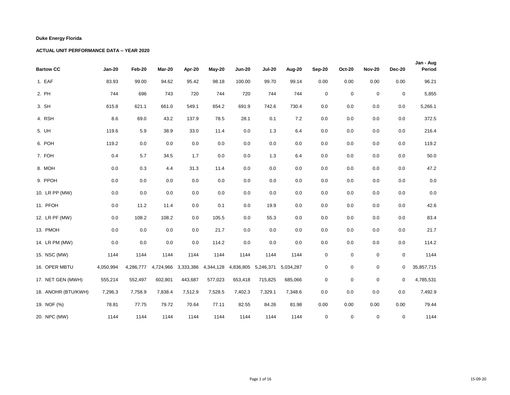| <b>Bartow CC</b>    | <b>Jan-20</b> | Feb-20    | Mar-20    | Apr-20  | May-20              | <b>Jun-20</b> | <b>Jul-20</b> | Aug-20    | Sep-20    | <b>Oct-20</b> | <b>Nov-20</b> | <b>Dec-20</b> | Jan - Aug<br>Period |
|---------------------|---------------|-----------|-----------|---------|---------------------|---------------|---------------|-----------|-----------|---------------|---------------|---------------|---------------------|
| 1. EAF              | 83.93         | 99.00     | 94.62     | 95.42   | 98.18               | 100.00        | 99.70         | 99.14     | 0.00      | 0.00          | 0.00          | 0.00          | 96.21               |
| 2. PH               | 744           | 696       | 743       | 720     | 744                 | 720           | 744           | 744       | $\pmb{0}$ | $\mathbf 0$   | $\mathbf 0$   | $\mathsf 0$   | 5,855               |
| 3. SH               | 615.8         | 621.1     | 661.0     | 549.1   | 654.2               | 691.9         | 742.6         | 730.4     | $0.0\,$   | 0.0           | 0.0           | 0.0           | 5,266.1             |
| 4. RSH              | 8.6           | 69.0      | 43.2      | 137.9   | 78.5                | 28.1          | 0.1           | $7.2\,$   | $0.0\,$   | 0.0           | 0.0           | 0.0           | 372.5               |
| 5. UH               | 119.6         | 5.9       | 38.9      | 33.0    | 11.4                | $0.0\,$       | 1.3           | 6.4       | 0.0       | 0.0           | 0.0           | 0.0           | 216.4               |
| 6. POH              | 119.2         | 0.0       | 0.0       | 0.0     | $0.0\,$             | $0.0\,$       | 0.0           | 0.0       | 0.0       | 0.0           | 0.0           | 0.0           | 119.2               |
| 7. FOH              | 0.4           | 5.7       | 34.5      | 1.7     | 0.0                 | 0.0           | 1.3           | 6.4       | 0.0       | 0.0           | 0.0           | 0.0           | 50.0                |
| 8. MOH              | 0.0           | 0.3       | 4.4       | 31.3    | 11.4                | 0.0           | 0.0           | 0.0       | 0.0       | 0.0           | 0.0           | 0.0           | 47.2                |
| 9. PPOH             | 0.0           | 0.0       | 0.0       | 0.0     | 0.0                 | 0.0           | 0.0           | 0.0       | 0.0       | 0.0           | 0.0           | 0.0           | 0.0                 |
| 10. LR PP (MW)      | $0.0\,$       | 0.0       | 0.0       | $0.0\,$ | 0.0                 | 0.0           | 0.0           | 0.0       | $0.0\,$   | 0.0           | 0.0           | 0.0           | $0.0\,$             |
| 11. PFOH            | 0.0           | 11.2      | 11.4      | $0.0\,$ | 0.1                 | 0.0           | 19.9          | 0.0       | 0.0       | 0.0           | 0.0           | 0.0           | 42.6                |
| 12. LR PF (MW)      | 0.0           | 108.2     | 108.2     | 0.0     | 105.5               | 0.0           | 55.3          | 0.0       | 0.0       | 0.0           | 0.0           | 0.0           | 83.4                |
| 13. PMOH            | 0.0           | 0.0       | 0.0       | 0.0     | 21.7                | 0.0           | 0.0           | 0.0       | $0.0\,$   | 0.0           | 0.0           | 0.0           | 21.7                |
| 14. LR PM (MW)      | 0.0           | 0.0       | 0.0       | 0.0     | 114.2               | $0.0\,$       | 0.0           | 0.0       | $0.0\,$   | 0.0           | 0.0           | 0.0           | 114.2               |
| 15. NSC (MW)        | 1144          | 1144      | 1144      | 1144    | 1144                | 1144          | 1144          | 1144      | 0         | $\mathbf 0$   | $\mathbf 0$   | 0             | 1144                |
| 16. OPER MBTU       | 4,050,994     | 4,286,777 | 4,724,966 |         | 3,333,386 4,344,128 | 4,836,805     | 5,246,371     | 5,034,287 | 0         | $\mathbf 0$   | $\mathbf 0$   | 0             | 35,857,715          |
| 17. NET GEN (MWH)   | 555,214       | 552,497   | 602,801   | 443,687 | 577,023             | 653,418       | 715,825       | 685,066   | 0         | $\mathbf 0$   | $\mathbf 0$   | 0             | 4,785,531           |
| 18. ANOHR (BTU/KWH) | 7,296.3       | 7,758.9   | 7,838.4   | 7,512.9 | 7,528.5             | 7,402.3       | 7,329.1       | 7,348.6   | 0.0       | 0.0           | 0.0           | 0.0           | 7,492.9             |
| 19. NOF (%)         | 78.81         | 77.75     | 79.72     | 70.64   | 77.11               | 82.55         | 84.26         | 81.98     | 0.00      | 0.00          | 0.00          | 0.00          | 79.44               |
| 20. NPC (MW)        | 1144          | 1144      | 1144      | 1144    | 1144                | 1144          | 1144          | 1144      | 0         | 0             | 0             | 0             | 1144                |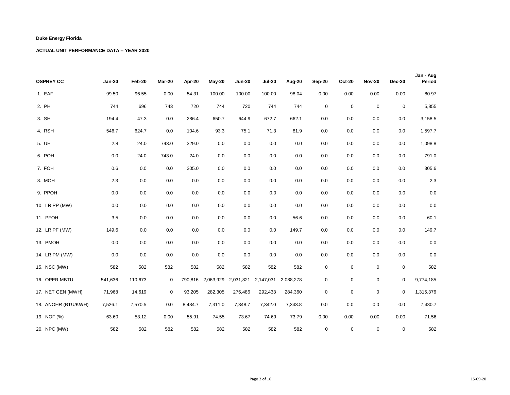| <b>OSPREY CC</b>    | <b>Jan-20</b> | Feb-20  | Mar-20 | Apr-20  | May-20    | <b>Jun-20</b> | <b>Jul-20</b> | Aug-20    | <b>Sep-20</b> | <b>Oct-20</b> | <b>Nov-20</b> | <b>Dec-20</b> | Jan - Aug<br>Period |
|---------------------|---------------|---------|--------|---------|-----------|---------------|---------------|-----------|---------------|---------------|---------------|---------------|---------------------|
| 1. EAF              | 99.50         | 96.55   | 0.00   | 54.31   | 100.00    | 100.00        | 100.00        | 98.04     | 0.00          | 0.00          | 0.00          | 0.00          | 80.97               |
| 2. PH               | 744           | 696     | 743    | 720     | 744       | 720           | 744           | 744       | 0             | $\mathbf 0$   | $\mathbf 0$   | 0             | 5,855               |
| 3. SH               | 194.4         | 47.3    | 0.0    | 286.4   | 650.7     | 644.9         | 672.7         | 662.1     | 0.0           | 0.0           | 0.0           | 0.0           | 3,158.5             |
| 4. RSH              | 546.7         | 624.7   | 0.0    | 104.6   | 93.3      | 75.1          | 71.3          | 81.9      | 0.0           | 0.0           | 0.0           | 0.0           | 1,597.7             |
| 5. UH               | $2.8\,$       | 24.0    | 743.0  | 329.0   | 0.0       | 0.0           | $0.0\,$       | 0.0       | $0.0\,$       | 0.0           | 0.0           | 0.0           | 1,098.8             |
| 6. POH              | 0.0           | 24.0    | 743.0  | 24.0    | 0.0       | 0.0           | 0.0           | 0.0       | 0.0           | 0.0           | 0.0           | 0.0           | 791.0               |
| 7. FOH              | 0.6           | 0.0     | 0.0    | 305.0   | 0.0       | 0.0           | 0.0           | 0.0       | 0.0           | 0.0           | 0.0           | 0.0           | 305.6               |
| 8. MOH              | $2.3\,$       | 0.0     | 0.0    | 0.0     | 0.0       | 0.0           | 0.0           | 0.0       | $0.0\,$       | 0.0           | 0.0           | $0.0\,$       | $2.3\,$             |
| 9. PPOH             | 0.0           | 0.0     | 0.0    | 0.0     | 0.0       | 0.0           | 0.0           | 0.0       | $0.0\,$       | 0.0           | 0.0           | 0.0           | $0.0\,$             |
| 10. LR PP (MW)      | 0.0           | 0.0     | 0.0    | 0.0     | 0.0       | 0.0           | 0.0           | 0.0       | 0.0           | 0.0           | 0.0           | 0.0           | $0.0\,$             |
| 11. PFOH            | 3.5           | $0.0\,$ | 0.0    | 0.0     | 0.0       | 0.0           | $0.0\,$       | 56.6      | 0.0           | 0.0           | 0.0           | 0.0           | 60.1                |
| 12. LR PF (MW)      | 149.6         | 0.0     | 0.0    | 0.0     | 0.0       | 0.0           | 0.0           | 149.7     | 0.0           | 0.0           | 0.0           | 0.0           | 149.7               |
| 13. PMOH            | 0.0           | 0.0     | 0.0    | 0.0     | 0.0       | 0.0           | 0.0           | 0.0       | 0.0           | 0.0           | 0.0           | 0.0           | $0.0\,$             |
| 14. LR PM (MW)      | 0.0           | 0.0     | 0.0    | 0.0     | 0.0       | 0.0           | 0.0           | 0.0       | $0.0\,$       | 0.0           | 0.0           | 0.0           | 0.0                 |
| 15. NSC (MW)        | 582           | 582     | 582    | 582     | 582       | 582           | 582           | 582       | 0             | $\mathbf 0$   | $\mathbf 0$   | 0             | 582                 |
| 16. OPER MBTU       | 541,636       | 110,673 | 0      | 790,816 | 2,063,929 | 2,031,821     | 2,147,031     | 2,088,278 | 0             | 0             | $\mathbf 0$   | $\pmb{0}$     | 9,774,185           |
| 17. NET GEN (MWH)   | 71,968        | 14,619  | 0      | 93,205  | 282,305   | 276,486       | 292,433       | 284,360   | 0             | $\mathbf 0$   | $\mathbf 0$   | $\mathbf 0$   | 1,315,376           |
| 18. ANOHR (BTU/KWH) | 7,526.1       | 7,570.5 | 0.0    | 8,484.7 | 7,311.0   | 7,348.7       | 7,342.0       | 7,343.8   | 0.0           | 0.0           | 0.0           | 0.0           | 7,430.7             |
| 19. NOF (%)         | 63.60         | 53.12   | 0.00   | 55.91   | 74.55     | 73.67         | 74.69         | 73.79     | 0.00          | 0.00          | 0.00          | 0.00          | 71.56               |
| 20. NPC (MW)        | 582           | 582     | 582    | 582     | 582       | 582           | 582           | 582       | $\mathbf 0$   | $\mathbf 0$   | $\mathbf 0$   | $\mathbf 0$   | 582                 |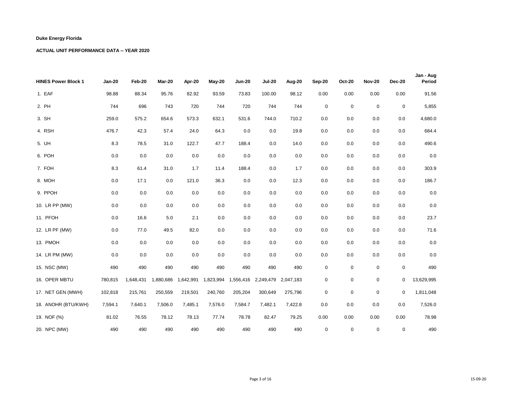| <b>HINES Power Block 1</b> | <b>Jan-20</b> | Feb-20    | Mar-20    | Apr-20    | $May-20$  | <b>Jun-20</b> | <b>Jul-20</b>       | Aug-20  | Sep-20  | <b>Oct-20</b>    | <b>Nov-20</b> | <b>Dec-20</b> | Jan - Aug<br>Period |
|----------------------------|---------------|-----------|-----------|-----------|-----------|---------------|---------------------|---------|---------|------------------|---------------|---------------|---------------------|
| 1. EAF                     | 98.88         | 88.34     | 95.76     | 82.92     | 93.59     | 73.83         | 100.00              | 98.12   | 0.00    | 0.00             | 0.00          | 0.00          | 91.56               |
| 2. PH                      | 744           | 696       | 743       | 720       | 744       | 720           | 744                 | 744     | 0       | $\mathbf 0$      | $\mathsf 0$   | 0             | 5,855               |
| 3. SH                      | 259.0         | 575.2     | 654.6     | 573.3     | 632.1     | 531.6         | 744.0               | 710.2   | 0.0     | 0.0              | 0.0           | 0.0           | 4,680.0             |
| 4. RSH                     | 476.7         | 42.3      | 57.4      | 24.0      | 64.3      | $0.0\,$       | 0.0                 | 19.8    | 0.0     | 0.0              | 0.0           | 0.0           | 684.4               |
| 5. UH                      | 8.3           | 78.5      | 31.0      | 122.7     | 47.7      | 188.4         | 0.0                 | 14.0    | $0.0\,$ | 0.0              | 0.0           | 0.0           | 490.6               |
| 6. POH                     | 0.0           | 0.0       | 0.0       | 0.0       | 0.0       | 0.0           | 0.0                 | 0.0     | 0.0     | 0.0              | 0.0           | 0.0           | $0.0\,$             |
| 7. FOH                     | 8.3           | 61.4      | 31.0      | 1.7       | 11.4      | 188.4         | 0.0                 | 1.7     | 0.0     | 0.0              | 0.0           | 0.0           | 303.9               |
| 8. MOH                     | 0.0           | 17.1      | 0.0       | 121.0     | 36.3      | 0.0           | 0.0                 | 12.3    | 0.0     | 0.0              | 0.0           | 0.0           | 186.7               |
| 9. PPOH                    | 0.0           | 0.0       | 0.0       | 0.0       | 0.0       | 0.0           | 0.0                 | 0.0     | 0.0     | 0.0              | 0.0           | 0.0           | $0.0\,$             |
| 10. LR PP (MW)             | 0.0           | 0.0       | 0.0       | 0.0       | 0.0       | 0.0           | 0.0                 | 0.0     | 0.0     | 0.0              | 0.0           | 0.0           | 0.0                 |
| 11. PFOH                   | 0.0           | 16.6      | 5.0       | 2.1       | $0.0\,$   | 0.0           | 0.0                 | 0.0     | 0.0     | 0.0              | 0.0           | 0.0           | 23.7                |
| 12. LR PF (MW)             | 0.0           | 77.0      | 49.5      | 82.0      | 0.0       | 0.0           | 0.0                 | 0.0     | 0.0     | 0.0              | 0.0           | 0.0           | 71.6                |
| 13. PMOH                   | 0.0           | 0.0       | 0.0       | 0.0       | 0.0       | 0.0           | 0.0                 | 0.0     | 0.0     | 0.0              | 0.0           | 0.0           | $0.0\,$             |
| 14. LR PM (MW)             | 0.0           | 0.0       | 0.0       | 0.0       | 0.0       | 0.0           | 0.0                 | 0.0     | 0.0     | 0.0              | 0.0           | 0.0           | 0.0                 |
| 15. NSC (MW)               | 490           | 490       | 490       | 490       | 490       | 490           | 490                 | 490     | 0       | $\boldsymbol{0}$ | $\pmb{0}$     | 0             | 490                 |
| 16. OPER MBTU              | 780,815       | 1,648,431 | 1,880,686 | 1,642,991 | 1,823,994 | 1,556,416     | 2,249,479 2,047,183 |         | 0       | 0                | 0             | 0             | 13,629,995          |
| 17. NET GEN (MWH)          | 102,818       | 215,761   | 250,559   | 219,501   | 240,760   | 205,204       | 300,649             | 275,796 | 0       | $\mathbf 0$      | $\mathbf 0$   | 0             | 1,811,048           |
| 18. ANOHR (BTU/KWH)        | 7,594.1       | 7,640.1   | 7,506.0   | 7,485.1   | 7,576.0   | 7,584.7       | 7,482.1             | 7,422.8 | 0.0     | 0.0              | 0.0           | 0.0           | 7,526.0             |
| 19. NOF (%)                | 81.02         | 76.55     | 78.12     | 78.13     | 77.74     | 78.78         | 82.47               | 79.25   | 0.00    | 0.00             | 0.00          | 0.00          | 78.98               |
| 20. NPC (MW)               | 490           | 490       | 490       | 490       | 490       | 490           | 490                 | 490     | 0       | 0                | 0             | 0             | 490                 |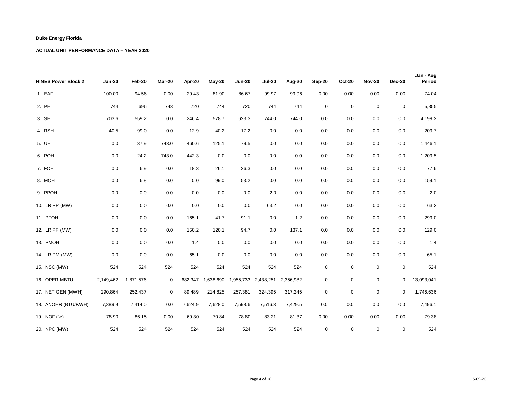| <b>HINES Power Block 2</b> | <b>Jan-20</b> | Feb-20    | Mar-20      | Apr-20  | $May-20$  | <b>Jun-20</b> | <b>Jul-20</b>       | Aug-20    | Sep-20           | <b>Oct-20</b> | <b>Nov-20</b> | <b>Dec-20</b> | Jan - Aug<br>Period |
|----------------------------|---------------|-----------|-------------|---------|-----------|---------------|---------------------|-----------|------------------|---------------|---------------|---------------|---------------------|
| 1. EAF                     | 100.00        | 94.56     | 0.00        | 29.43   | 81.90     | 86.67         | 99.97               | 99.96     | 0.00             | 0.00          | 0.00          | 0.00          | 74.04               |
| 2. PH                      | 744           | 696       | 743         | 720     | 744       | 720           | 744                 | 744       | $\boldsymbol{0}$ | $\mathsf 0$   | $\mathbf 0$   | $\pmb{0}$     | 5,855               |
| 3. SH                      | 703.6         | 559.2     | 0.0         | 246.4   | 578.7     | 623.3         | 744.0               | 744.0     | 0.0              | 0.0           | 0.0           | 0.0           | 4,199.2             |
| 4. RSH                     | 40.5          | 99.0      | 0.0         | 12.9    | 40.2      | 17.2          | 0.0                 | 0.0       | 0.0              | 0.0           | 0.0           | 0.0           | 209.7               |
| 5. UH                      | 0.0           | 37.9      | 743.0       | 460.6   | 125.1     | 79.5          | 0.0                 | 0.0       | 0.0              | 0.0           | 0.0           | 0.0           | 1,446.1             |
| 6. POH                     | 0.0           | 24.2      | 743.0       | 442.3   | 0.0       | 0.0           | 0.0                 | 0.0       | 0.0              | 0.0           | 0.0           | 0.0           | 1,209.5             |
| 7. FOH                     | 0.0           | 6.9       | 0.0         | 18.3    | 26.1      | 26.3          | 0.0                 | 0.0       | 0.0              | 0.0           | 0.0           | 0.0           | 77.6                |
| 8. MOH                     | 0.0           | 6.8       | 0.0         | 0.0     | 99.0      | 53.2          | 0.0                 | 0.0       | 0.0              | 0.0           | 0.0           | 0.0           | 159.1               |
| 9. PPOH                    | 0.0           | 0.0       | 0.0         | 0.0     | 0.0       | 0.0           | 2.0                 | 0.0       | 0.0              | 0.0           | 0.0           | 0.0           | 2.0                 |
| 10. LR PP (MW)             | 0.0           | 0.0       | 0.0         | 0.0     | 0.0       | 0.0           | 63.2                | 0.0       | 0.0              | 0.0           | 0.0           | 0.0           | 63.2                |
| 11. PFOH                   | 0.0           | 0.0       | 0.0         | 165.1   | 41.7      | 91.1          | 0.0                 | 1.2       | 0.0              | 0.0           | 0.0           | 0.0           | 299.0               |
| 12. LR PF (MW)             | 0.0           | 0.0       | 0.0         | 150.2   | 120.1     | 94.7          | 0.0                 | 137.1     | 0.0              | 0.0           | 0.0           | 0.0           | 129.0               |
| 13. PMOH                   | 0.0           | 0.0       | 0.0         | 1.4     | 0.0       | 0.0           | 0.0                 | 0.0       | 0.0              | 0.0           | 0.0           | 0.0           | 1.4                 |
| 14. LR PM (MW)             | 0.0           | 0.0       | 0.0         | 65.1    | 0.0       | 0.0           | 0.0                 | 0.0       | 0.0              | 0.0           | 0.0           | 0.0           | 65.1                |
| 15. NSC (MW)               | 524           | 524       | 524         | 524     | 524       | 524           | 524                 | 524       | $\mathsf 0$      | $\mathsf 0$   | $\mathbf 0$   | 0             | 524                 |
| 16. OPER MBTU              | 2,149,462     | 1,871,576 | $\mathbf 0$ | 682,347 | 1,638,690 |               | 1,955,733 2,438,251 | 2,356,982 | $\mathbf 0$      | $\mathsf 0$   | 0             | $\mathbf{0}$  | 13,093,041          |
| 17. NET GEN (MWH)          | 290,864       | 252,437   | 0           | 89,489  | 214,825   | 257,381       | 324,395             | 317,245   | 0                | $\mathbf 0$   | $\mathbf 0$   | $\mathbf 0$   | 1,746,636           |
| 18. ANOHR (BTU/KWH)        | 7,389.9       | 7,414.0   | 0.0         | 7,624.9 | 7,628.0   | 7,598.6       | 7,516.3             | 7,429.5   | 0.0              | 0.0           | 0.0           | 0.0           | 7,496.1             |
| 19. NOF (%)                | 78.90         | 86.15     | 0.00        | 69.30   | 70.84     | 78.80         | 83.21               | 81.37     | 0.00             | 0.00          | 0.00          | 0.00          | 79.38               |
| 20. NPC (MW)               | 524           | 524       | 524         | 524     | 524       | 524           | 524                 | 524       | $\mathbf 0$      | $\mathbf 0$   | $\mathbf 0$   | $\mathbf 0$   | 524                 |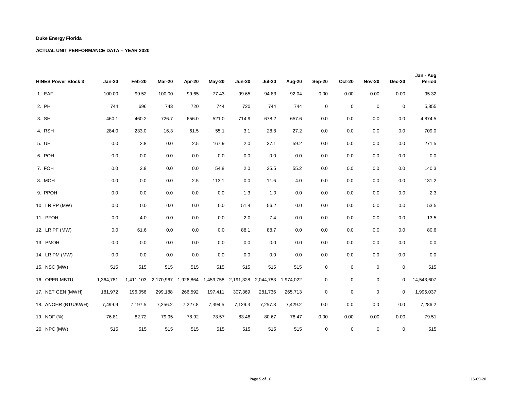| <b>HINES Power Block 3</b> | <b>Jan-20</b> | Feb-20    | Mar-20    | Apr-20  | May-20  | <b>Jun-20</b>                   | <b>Jul-20</b>       | Aug-20  | Sep-20  | <b>Oct-20</b>    | <b>Nov-20</b> | <b>Dec-20</b>    | Jan - Aug<br>Period |
|----------------------------|---------------|-----------|-----------|---------|---------|---------------------------------|---------------------|---------|---------|------------------|---------------|------------------|---------------------|
| 1. EAF                     | 100.00        | 99.52     | 100.00    | 99.65   | 77.43   | 99.65                           | 94.83               | 92.04   | 0.00    | 0.00             | 0.00          | 0.00             | 95.32               |
| 2. PH                      | 744           | 696       | 743       | 720     | 744     | 720                             | 744                 | 744     | 0       | $\mathbf 0$      | $\mathbf 0$   | $\pmb{0}$        | 5,855               |
| 3. SH                      | 460.1         | 460.2     | 726.7     | 656.0   | 521.0   | 714.9                           | 678.2               | 657.6   | 0.0     | 0.0              | 0.0           | 0.0              | 4,874.5             |
| 4. RSH                     | 284.0         | 233.0     | 16.3      | 61.5    | 55.1    | 3.1                             | 28.8                | 27.2    | 0.0     | 0.0              | 0.0           | 0.0              | 709.0               |
| 5. UH                      | 0.0           | $2.8\,$   | 0.0       | 2.5     | 167.9   | 2.0                             | 37.1                | 59.2    | 0.0     | 0.0              | 0.0           | 0.0              | 271.5               |
| 6. POH                     | 0.0           | 0.0       | 0.0       | 0.0     | $0.0\,$ | $0.0\,$                         | 0.0                 | 0.0     | 0.0     | 0.0              | 0.0           | 0.0              | $0.0\,$             |
| 7. FOH                     | 0.0           | 2.8       | 0.0       | 0.0     | 54.8    | 2.0                             | 25.5                | 55.2    | 0.0     | 0.0              | 0.0           | 0.0              | 140.3               |
| 8. MOH                     | 0.0           | 0.0       | 0.0       | 2.5     | 113.1   | 0.0                             | 11.6                | 4.0     | 0.0     | 0.0              | 0.0           | 0.0              | 131.2               |
| 9. PPOH                    | 0.0           | 0.0       | 0.0       | 0.0     | 0.0     | 1.3                             | 1.0                 | 0.0     | 0.0     | 0.0              | 0.0           | 0.0              | 2.3                 |
| 10. LR PP (MW)             | 0.0           | 0.0       | 0.0       | 0.0     | 0.0     | 51.4                            | 56.2                | 0.0     | 0.0     | 0.0              | 0.0           | 0.0              | 53.5                |
| 11. PFOH                   | 0.0           | 4.0       | 0.0       | 0.0     | 0.0     | 2.0                             | 7.4                 | 0.0     | $0.0\,$ | 0.0              | 0.0           | 0.0              | 13.5                |
| 12. LR PF (MW)             | 0.0           | 61.6      | 0.0       | 0.0     | 0.0     | 88.1                            | 88.7                | 0.0     | 0.0     | 0.0              | 0.0           | 0.0              | 80.6                |
| 13. PMOH                   | 0.0           | 0.0       | 0.0       | 0.0     | 0.0     | 0.0                             | 0.0                 | 0.0     | $0.0\,$ | 0.0              | 0.0           | 0.0              | $0.0\,$             |
| 14. LR PM (MW)             | 0.0           | 0.0       | 0.0       | 0.0     | 0.0     | 0.0                             | 0.0                 | 0.0     | $0.0\,$ | 0.0              | 0.0           | 0.0              | 0.0                 |
| 15. NSC (MW)               | 515           | 515       | 515       | 515     | 515     | 515                             | 515                 | 515     | 0       | $\boldsymbol{0}$ | $\mathbf 0$   | 0                | 515                 |
| 16. OPER MBTU              | 1,364,781     | 1,411,103 | 2,170,967 |         |         | 1,926,864  1,459,758  2,191,328 | 2,044,783 1,974,022 |         | 0       | $\mathbf 0$      | $\mathbf 0$   | 0                | 14,543,607          |
| 17. NET GEN (MWH)          | 181,972       | 196,056   | 299,188   | 266,592 | 197,411 | 307,369                         | 281,736             | 265,713 | 0       | 0                | $\mathbf 0$   | $\boldsymbol{0}$ | 1,996,037           |
| 18. ANOHR (BTU/KWH)        | 7,499.9       | 7,197.5   | 7,256.2   | 7,227.8 | 7,394.5 | 7,129.3                         | 7,257.8             | 7,429.2 | 0.0     | 0.0              | 0.0           | 0.0              | 7,286.2             |
| 19. NOF (%)                | 76.81         | 82.72     | 79.95     | 78.92   | 73.57   | 83.48                           | 80.67               | 78.47   | 0.00    | 0.00             | 0.00          | 0.00             | 79.51               |
| 20. NPC (MW)               | 515           | 515       | 515       | 515     | 515     | 515                             | 515                 | 515     | 0       | $\pmb{0}$        | 0             | 0                | 515                 |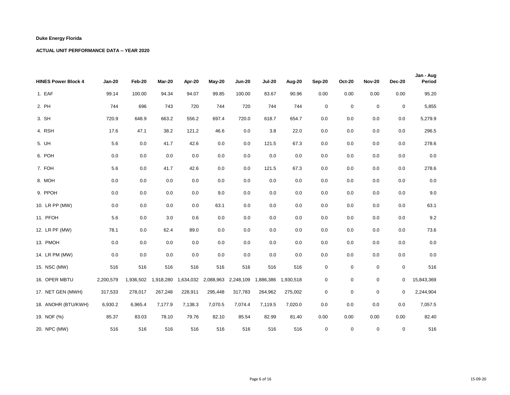| <b>HINES Power Block 4</b> | <b>Jan-20</b> | Feb-20    | Mar-20    | Apr-20  | $May-20$ | <b>Jun-20</b>                 | <b>Jul-20</b>       | Aug-20  | Sep-20  | <b>Oct-20</b>    | <b>Nov-20</b> | <b>Dec-20</b> | Jan - Aug<br>Period |
|----------------------------|---------------|-----------|-----------|---------|----------|-------------------------------|---------------------|---------|---------|------------------|---------------|---------------|---------------------|
| 1. EAF                     | 99.14         | 100.00    | 94.34     | 94.07   | 99.85    | 100.00                        | 83.67               | 90.96   | 0.00    | 0.00             | 0.00          | 0.00          | 95.20               |
| 2. PH                      | 744           | 696       | 743       | 720     | 744      | 720                           | 744                 | 744     | 0       | $\mathbf 0$      | 0             | 0             | 5,855               |
| 3. SH                      | 720.9         | 648.9     | 663.2     | 556.2   | 697.4    | 720.0                         | 618.7               | 654.7   | 0.0     | 0.0              | 0.0           | 0.0           | 5,279.9             |
| 4. RSH                     | 17.6          | 47.1      | 38.2      | 121.2   | 46.6     | 0.0                           | 3.8                 | 22.0    | $0.0\,$ | 0.0              | 0.0           | 0.0           | 296.5               |
| 5. UH                      | 5.6           | 0.0       | 41.7      | 42.6    | 0.0      | 0.0                           | 121.5               | 67.3    | $0.0\,$ | 0.0              | 0.0           | 0.0           | 278.6               |
| 6. POH                     | $0.0\,$       | 0.0       | 0.0       | 0.0     | 0.0      | $0.0\,$                       | 0.0                 | 0.0     | 0.0     | 0.0              | 0.0           | 0.0           | $0.0\,$             |
| 7. FOH                     | 5.6           | 0.0       | 41.7      | 42.6    | 0.0      | 0.0                           | 121.5               | 67.3    | 0.0     | 0.0              | 0.0           | 0.0           | 278.6               |
| 8. MOH                     | 0.0           | 0.0       | 0.0       | 0.0     | 0.0      | 0.0                           | 0.0                 | 0.0     | 0.0     | 0.0              | 0.0           | 0.0           | $0.0\,$             |
| 9. PPOH                    | 0.0           | 0.0       | 0.0       | 0.0     | 9.0      | $0.0\,$                       | 0.0                 | 0.0     | 0.0     | 0.0              | 0.0           | 0.0           | 9.0                 |
| 10. LR PP (MW)             | 0.0           | 0.0       | 0.0       | 0.0     | 63.1     | 0.0                           | 0.0                 | 0.0     | 0.0     | 0.0              | 0.0           | 0.0           | 63.1                |
| 11. PFOH                   | 5.6           | 0.0       | 3.0       | 0.6     | 0.0      | 0.0                           | 0.0                 | 0.0     | 0.0     | 0.0              | 0.0           | 0.0           | 9.2                 |
| 12. LR PF (MW)             | 78.1          | 0.0       | 62.4      | 89.0    | 0.0      | 0.0                           | 0.0                 | 0.0     | 0.0     | 0.0              | 0.0           | 0.0           | 73.6                |
| 13. PMOH                   | 0.0           | 0.0       | 0.0       | 0.0     | 0.0      | 0.0                           | 0.0                 | 0.0     | 0.0     | 0.0              | 0.0           | 0.0           | $0.0\,$             |
| 14. LR PM (MW)             | 0.0           | 0.0       | 0.0       | 0.0     | 0.0      | 0.0                           | 0.0                 | 0.0     | 0.0     | 0.0              | 0.0           | 0.0           | $0.0\,$             |
| 15. NSC (MW)               | 516           | 516       | 516       | 516     | 516      | 516                           | 516                 | 516     | 0       | $\boldsymbol{0}$ | $\mathbf 0$   | 0             | 516                 |
| 16. OPER MBTU              | 2,200,579     | 1,936,502 | 1,918,280 |         |          | 1,634,032 2,088,963 2,248,109 | 1,886,386 1,930,518 |         | 0       | $\mathbf 0$      | 0             | 0             | 15,843,369          |
| 17. NET GEN (MWH)          | 317,533       | 278,017   | 267,248   | 228,911 | 295,448  | 317,783                       | 264,962             | 275,002 | 0       | $\mathbf 0$      | $\mathbf 0$   | 0             | 2,244,904           |
| 18. ANOHR (BTU/KWH)        | 6,930.2       | 6,965.4   | 7,177.9   | 7,138.3 | 7,070.5  | 7,074.4                       | 7,119.5             | 7,020.0 | 0.0     | 0.0              | 0.0           | 0.0           | 7,057.5             |
| 19. NOF (%)                | 85.37         | 83.03     | 78.10     | 79.76   | 82.10    | 85.54                         | 82.99               | 81.40   | 0.00    | 0.00             | 0.00          | 0.00          | 82.40               |
| 20. NPC (MW)               | 516           | 516       | 516       | 516     | 516      | 516                           | 516                 | 516     | 0       | $\mathbf 0$      | 0             | 0             | 516                 |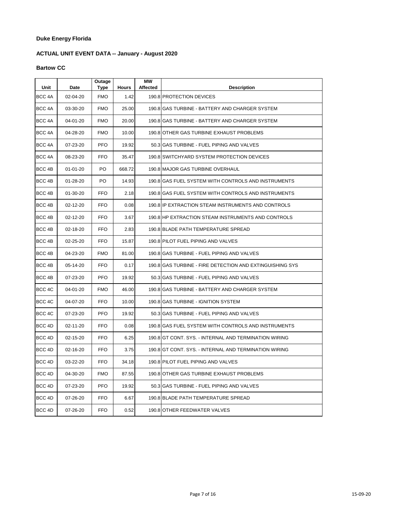# **ACTUAL UNIT EVENT DATA -- January - August 2020**

#### **Bartow CC**

| Unit   | Date           | Outage<br>Type | <b>Hours</b> | МW<br><b>Affected</b> | <b>Description</b>                                       |
|--------|----------------|----------------|--------------|-----------------------|----------------------------------------------------------|
| BCC 4A | 02-04-20       | <b>FMO</b>     | 1.42         |                       | 190.8 PROTECTION DEVICES                                 |
| BCC 4A | 03-30-20       | <b>FMO</b>     | 25.00        |                       | 190.8 GAS TURBINE - BATTERY AND CHARGER SYSTEM           |
| BCC 4A | 04-01-20       | <b>FMO</b>     | 20.00        |                       | 190.8 GAS TURBINE - BATTERY AND CHARGER SYSTEM           |
| BCC 4A | 04-28-20       | <b>FMO</b>     | 10.00        |                       | 190.8 OTHER GAS TURBINE EXHAUST PROBLEMS                 |
| BCC 4A | 07-23-20       | <b>PFO</b>     | 19.92        |                       | 50.3 GAS TURBINE - FUEL PIPING AND VALVES                |
| BCC 4A | 08-23-20       | <b>FFO</b>     | 35.47        |                       | 190.8 SWITCHYARD SYSTEM PROTECTION DEVICES               |
| BCC 4B | $01 - 01 - 20$ | PO             | 668.72       |                       | 190.8 MAJOR GAS TURBINE OVERHAUL                         |
| BCC 4B | 01-28-20       | PO             | 14.93        |                       | 190.8 GAS FUEL SYSTEM WITH CONTROLS AND INSTRUMENTS      |
| BCC 4B | $01 - 30 - 20$ | <b>FFO</b>     | 2.18         |                       | 190.8 GAS FUEL SYSTEM WITH CONTROLS AND INSTRUMENTS      |
| BCC 4B | 02-12-20       | FFO            | 0.08         |                       | 190.8 IP EXTRACTION STEAM INSTRUMENTS AND CONTROLS       |
| BCC 4B | 02-12-20       | <b>FFO</b>     | 3.67         |                       | 190.8 HP EXTRACTION STEAM INSTRUMENTS AND CONTROLS       |
| BCC 4B | 02-18-20       | <b>FFO</b>     | 2.83         |                       | 190.8 BLADE PATH TEMPERATURE SPREAD                      |
| BCC 4B | 02-25-20       | <b>FFO</b>     | 15.87        |                       | 190.8 PILOT FUEL PIPING AND VALVES                       |
| BCC 4B | 04-23-20       | <b>FMO</b>     | 81.00        |                       | 190.8 GAS TURBINE - FUEL PIPING AND VALVES               |
| BCC 4B | 05-14-20       | <b>FFO</b>     | 0.17         |                       | 190.8 GAS TURBINE - FIRE DETECTION AND EXTINGUISHING SYS |
| BCC 4B | 07-23-20       | <b>PFO</b>     | 19.92        |                       | 50.3 GAS TURBINE - FUEL PIPING AND VALVES                |
| BCC 4C | 04-01-20       | <b>FMO</b>     | 46.00        |                       | 190.8 IGAS TURBINE - BATTERY AND CHARGER SYSTEM          |
| BCC 4C | 04-07-20       | <b>FFO</b>     | 10.00        |                       | 190.8 GAS TURBINE - IGNITION SYSTEM                      |
| BCC 4C | 07-23-20       | <b>PFO</b>     | 19.92        |                       | 50.3 GAS TURBINE - FUEL PIPING AND VALVES                |
| BCC 4D | $02 - 11 - 20$ | <b>FFO</b>     | 0.08         |                       | 190.8 GAS FUEL SYSTEM WITH CONTROLS AND INSTRUMENTS      |
| BCC 4D | 02-15-20       | <b>FFO</b>     | 6.25         |                       | 190.8 GT CONT. SYS. - INTERNAL AND TERMINATION WIRING    |
| BCC 4D | 02-16-20       | <b>FFO</b>     | 3.75         |                       | 190.8 GT CONT. SYS. - INTERNAL AND TERMINATION WIRING    |
| BCC 4D | 03-22-20       | <b>FFO</b>     | 34.18        |                       | 190.8 PILOT FUEL PIPING AND VALVES                       |
| BCC 4D | 04-30-20       | <b>FMO</b>     | 87.55        |                       | 190.8 OTHER GAS TURBINE EXHAUST PROBLEMS                 |
| BCC 4D | 07-23-20       | <b>PFO</b>     | 19.92        |                       | 50.3 GAS TURBINE - FUEL PIPING AND VALVES                |
| BCC 4D | 07-26-20       | <b>FFO</b>     | 6.67         |                       | 190.8 BLADE PATH TEMPERATURE SPREAD                      |
| BCC 4D | 07-26-20       | <b>FFO</b>     | 0.52         |                       | 190.8 OTHER FEEDWATER VALVES                             |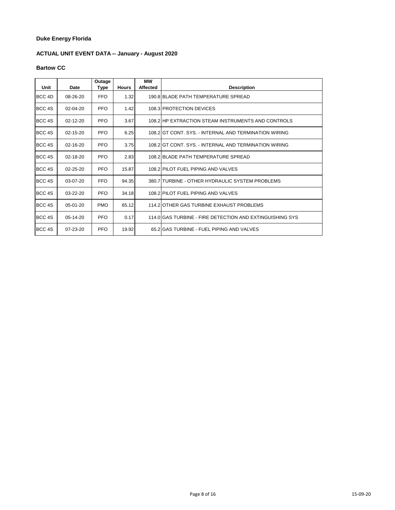# **ACTUAL UNIT EVENT DATA -- January - August 2020**

#### **Bartow CC**

| Unit   | Date           | Outage<br>Type | <b>Hours</b> | МW<br><b>Affected</b> | <b>Description</b>                                       |
|--------|----------------|----------------|--------------|-----------------------|----------------------------------------------------------|
| BCC 4D | 08-26-20       | <b>FFO</b>     | 1.32         |                       | 190.8 BLADE PATH TEMPERATURE SPREAD                      |
| BCC 4S | $02 - 04 - 20$ | <b>PFO</b>     | 1.42         |                       | 108.3 PROTECTION DEVICES                                 |
| BCC 4S | $02 - 12 - 20$ | <b>PFO</b>     | 3.67         |                       | 108.2 HP EXTRACTION STEAM INSTRUMENTS AND CONTROLS       |
| BCC 4S | $02 - 15 - 20$ | <b>PFO</b>     | 6.25         |                       | 108.2 GT CONT. SYS. - INTERNAL AND TERMINATION WIRING    |
| BCC 4S | $02 - 16 - 20$ | <b>PFO</b>     | 3.75         |                       | 108.2 GT CONT. SYS. - INTERNAL AND TERMINATION WIRING    |
| BCC 4S | $02 - 18 - 20$ | <b>PFO</b>     | 2.83         |                       | 108.2 BLADE PATH TEMPERATURE SPREAD                      |
| BCC 4S | $02 - 25 - 20$ | <b>PFO</b>     | 15.87        |                       | 108.2 PILOT FUEL PIPING AND VALVES                       |
| BCC 4S | $03-07-20$     | <b>FFO</b>     | 94.35        |                       | 380.7 TURBINE - OTHER HYDRAULIC SYSTEM PROBLEMS          |
| BCC 4S | 03-22-20       | <b>PFO</b>     | 34.18        |                       | 108.2 PILOT FUEL PIPING AND VALVES                       |
| BCC 4S | 05-01-20       | <b>PMO</b>     | 65.12        |                       | 114.2 OTHER GAS TURBINE EXHAUST PROBLEMS                 |
| BCC 4S | 05-14-20       | <b>PFO</b>     | 0.17         |                       | 114.0 GAS TURBINE - FIRE DETECTION AND EXTINGUISHING SYS |
| BCC 4S | $07 - 23 - 20$ | PFO            | 19.92        |                       | 65.2 GAS TURBINE - FUEL PIPING AND VALVES                |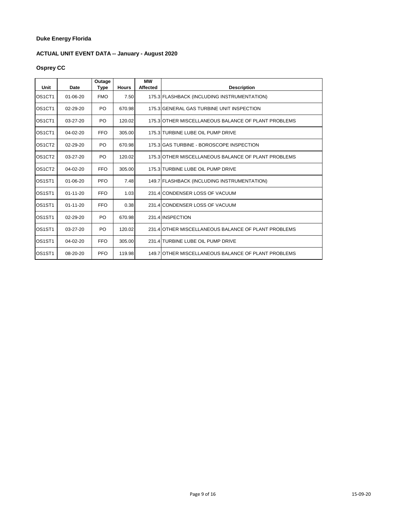# **ACTUAL UNIT EVENT DATA -- January - August 2020**

# **Osprey CC**

| Unit                            | Date           | Outage<br>Type | <b>Hours</b> | МW<br><b>Affected</b> | <b>Description</b>                                  |
|---------------------------------|----------------|----------------|--------------|-----------------------|-----------------------------------------------------|
| OS <sub>1</sub> CT <sub>1</sub> | $01 - 06 - 20$ | <b>FMO</b>     | 7.50         |                       | 175.3 FLASHBACK (INCLUDING INSTRUMENTATION)         |
| OS <sub>1</sub> CT <sub>1</sub> | 02-29-20       | PO             | 670.98       |                       | 175.3 GENERAL GAS TURBINE UNIT INSPECTION           |
| OS <sub>1</sub> CT <sub>1</sub> | $03 - 27 - 20$ | PO             | 120.02       |                       | 175.3 OTHER MISCELLANEOUS BALANCE OF PLANT PROBLEMS |
| OS <sub>1</sub> CT <sub>1</sub> | $04 - 02 - 20$ | <b>FFO</b>     | 305.00       |                       | 175.3 TURBINE LUBE OIL PUMP DRIVE                   |
| OS <sub>1</sub> CT <sub>2</sub> | $02 - 29 - 20$ | PO.            | 670.98       |                       | 175.3 GAS TURBINE - BOROSCOPE INSPECTION            |
| OS <sub>1</sub> CT <sub>2</sub> | $03 - 27 - 20$ | PO             | 120.02       |                       | 175.3 OTHER MISCELLANEOUS BALANCE OF PLANT PROBLEMS |
| OS <sub>1</sub> CT <sub>2</sub> | $04 - 02 - 20$ | <b>FFO</b>     | 305.00       |                       | 175.3 TURBINE LUBE OIL PUMP DRIVE                   |
| OS <sub>1</sub> ST <sub>1</sub> | $01 - 06 - 20$ | <b>PFO</b>     | 7.48         |                       | 149.7 FLASHBACK (INCLUDING INSTRUMENTATION)         |
| OS <sub>1</sub> ST <sub>1</sub> | $01 - 11 - 20$ | <b>FFO</b>     | 1.03         |                       | 231.4 CONDENSER LOSS OF VACUUM                      |
| OS <sub>1</sub> ST <sub>1</sub> | $01 - 11 - 20$ | <b>FFO</b>     | 0.38         |                       | 231.4 CONDENSER LOSS OF VACUUM                      |
| OS <sub>1</sub> ST <sub>1</sub> | $02 - 29 - 20$ | PO.            | 670.98       |                       | 231.4 INSPECTION                                    |
| OS <sub>1</sub> ST <sub>1</sub> | 03-27-20       | PO             | 120.02       |                       | 231.4 OTHER MISCELLANEOUS BALANCE OF PLANT PROBLEMS |
| OS <sub>1</sub> ST <sub>1</sub> | $04 - 02 - 20$ | <b>FFO</b>     | 305.00       |                       | 231.4 TURBINE LUBE OIL PUMP DRIVE                   |
| OS <sub>1</sub> ST <sub>1</sub> | 08-20-20       | <b>PFO</b>     | 119.98       |                       | 149.7 OTHER MISCELLANEOUS BALANCE OF PLANT PROBLEMS |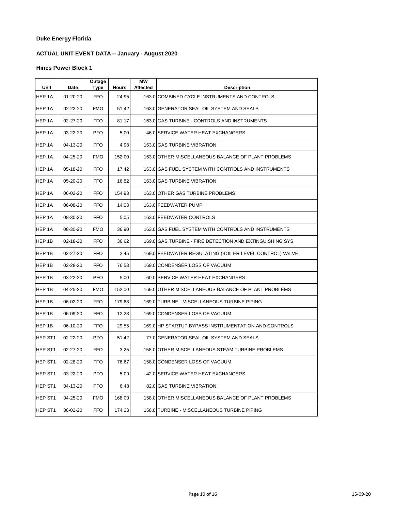# **ACTUAL UNIT EVENT DATA -- January - August 2020**

| Unit    | Date     | Outage<br>Type | <b>Hours</b> | <b>MW</b><br>Affected | <b>Description</b>                                       |
|---------|----------|----------------|--------------|-----------------------|----------------------------------------------------------|
| HEP 1A  | 01-20-20 | FFO.           | 24.95        |                       | 163.0 COMBINED CYCLE INSTRUMENTS AND CONTROLS            |
| HEP 1A  | 02-22-20 | <b>FMO</b>     | 51.42        |                       | 163.0 GENERATOR SEAL OIL SYSTEM AND SEALS                |
| HEP 1A  | 02-27-20 | <b>FFO</b>     | 81.17        |                       | 163.0 GAS TURBINE - CONTROLS AND INSTRUMENTS             |
| HEP 1A  | 03-22-20 | <b>PFO</b>     | 5.00         |                       | 46.0 SERVICE WATER HEAT EXCHANGERS                       |
| HEP 1A  | 04-13-20 | <b>FFO</b>     | 4.98         |                       | 163.0 GAS TURBINE VIBRATION                              |
| HEP 1A  | 04-25-20 | <b>FMO</b>     | 152.00       |                       | 163.0 OTHER MISCELLANEOUS BALANCE OF PLANT PROBLEMS      |
| HEP 1A  | 05-18-20 | <b>FFO</b>     | 17.42        |                       | 163.0 GAS FUEL SYSTEM WITH CONTROLS AND INSTRUMENTS      |
| HEP 1A  | 05-20-20 | <b>FFO</b>     | 16.82        |                       | 163.0 GAS TURBINE VIBRATION                              |
| HEP 1A  | 06-02-20 | <b>FFO</b>     | 154.93       |                       | 163.0 OTHER GAS TURBINE PROBLEMS                         |
| HEP 1A  | 06-08-20 | <b>FFO</b>     | 14.03        |                       | 163.0 FEEDWATER PUMP                                     |
| HEP 1A  | 08-30-20 | <b>FFO</b>     | 5.05         |                       | 163.0 FEEDWATER CONTROLS                                 |
| HEP 1A  | 08-30-20 | <b>FMO</b>     | 36.90        |                       | 163.0 GAS FUEL SYSTEM WITH CONTROLS AND INSTRUMENTS      |
| HEP 1B  | 02-18-20 | <b>FFO</b>     | 36.62        |                       | 169.0 GAS TURBINE - FIRE DETECTION AND EXTINGUISHING SYS |
| HEP 1B  | 02-27-20 | <b>FFO</b>     | 2.45         |                       | 169.0 FEEDWATER REGULATING (BOILER LEVEL CONTROL) VALVE  |
| HEP 1B  | 02-28-20 | <b>FFO</b>     | 76.58        |                       | 169.0 CONDENSER LOSS OF VACUUM                           |
| HEP 1B  | 03-22-20 | <b>PFO</b>     | 5.00         |                       | 60.0 SERVICE WATER HEAT EXCHANGERS                       |
| HEP 1B  | 04-25-20 | <b>FMO</b>     | 152.00       |                       | 169.0 OTHER MISCELLANEOUS BALANCE OF PLANT PROBLEMS      |
| HEP 1B  | 06-02-20 | <b>FFO</b>     | 179.68       |                       | 169.0 TURBINE - MISCELLANEOUS TURBINE PIPING             |
| HEP 1B  | 06-09-20 | <b>FFO</b>     | 12.28        |                       | 169.0 CONDENSER LOSS OF VACUUM                           |
| HEP 1B  | 06-10-20 | FFO.           | 29.55        |                       | 169.0 HP STARTUP BYPASS INSTRUMENTATION AND CONTROLS     |
| HEP ST1 | 02-22-20 | <b>PFO</b>     | 51.42        |                       | 77.0 GENERATOR SEAL OIL SYSTEM AND SEALS                 |
| HEP ST1 | 02-27-20 | <b>FFO</b>     | 3.25         |                       | 158.0 OTHER MISCELLANEOUS STEAM TURBINE PROBLEMS         |
| HEP ST1 | 02-28-20 | <b>FFO</b>     | 76.67        |                       | 158.0 CONDENSER LOSS OF VACUUM                           |
| HEP ST1 | 03-22-20 | <b>PFO</b>     | 5.00         |                       | 42.0 SERVICE WATER HEAT EXCHANGERS                       |
| HEP ST1 | 04-13-20 | <b>PFO</b>     | 6.48         |                       | 82.0 GAS TURBINE VIBRATION                               |
| HEP ST1 | 04-25-20 | <b>FMO</b>     | 168.00       |                       | 158.0 OTHER MISCELLANEOUS BALANCE OF PLANT PROBLEMS      |
| HEP ST1 | 06-02-20 | <b>FFO</b>     | 174.23       |                       | 158.0 TURBINE - MISCELLANEOUS TURBINE PIPING             |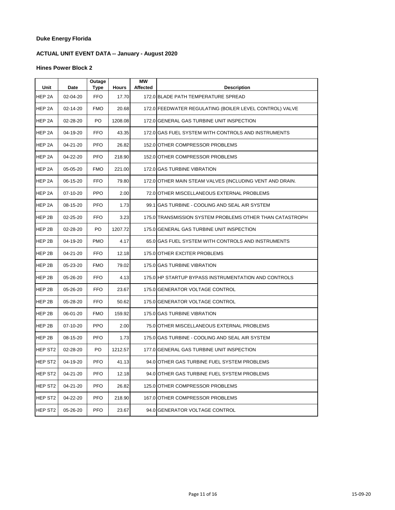# **ACTUAL UNIT EVENT DATA -- January - August 2020**

| Unit                | Date     | Outage<br><b>Type</b> | <b>Hours</b> | <b>MW</b><br><b>Affected</b> | <b>Description</b>                                       |
|---------------------|----------|-----------------------|--------------|------------------------------|----------------------------------------------------------|
| HEP 2A              | 02-04-20 | <b>FFO</b>            | 17.70        |                              | 172.0 BLADE PATH TEMPERATURE SPREAD                      |
| HEP 2A              | 02-14-20 | <b>FMO</b>            | 20.68        |                              | 172.0 FEEDWATER REGULATING (BOILER LEVEL CONTROL) VALVE  |
| HEP 2A              | 02-28-20 | PO                    | 1208.08      |                              | 172.0 GENERAL GAS TURBINE UNIT INSPECTION                |
| HEP <sub>2A</sub>   | 04-19-20 | <b>FFO</b>            | 43.35        |                              | 172.0 GAS FUEL SYSTEM WITH CONTROLS AND INSTRUMENTS      |
| HEP 2A              | 04-21-20 | <b>PFO</b>            | 26.82        |                              | 152.0 OTHER COMPRESSOR PROBLEMS                          |
| HEP 2A              | 04-22-20 | <b>PFO</b>            | 218.90       |                              | 152.0 OTHER COMPRESSOR PROBLEMS                          |
| HEP 2A              | 05-05-20 | <b>FMO</b>            | 221.00       |                              | 172.0 GAS TURBINE VIBRATION                              |
| HEP <sub>2A</sub>   | 06-15-20 | <b>FFO</b>            | 79.80        |                              | 172.0 OTHER MAIN STEAM VALVES (INCLUDING VENT AND DRAIN. |
| HEP 2A              | 07-10-20 | <b>PPO</b>            | 2.00         |                              | 72.0 OTHER MISCELLANEOUS EXTERNAL PROBLEMS               |
| HEP 2A              | 08-15-20 | <b>PFO</b>            | 1.73         |                              | 99.1 IGAS TURBINE - COOLING AND SEAL AIR SYSTEM          |
| HEP 2B              | 02-25-20 | <b>FFO</b>            | 3.23         |                              | 175.0 TRANSMISSION SYSTEM PROBLEMS OTHER THAN CATASTROPH |
| HEP 2B              | 02-28-20 | PO                    | 1207.72      |                              | 175.0 GENERAL GAS TURBINE UNIT INSPECTION                |
| HEP 2B              | 04-19-20 | <b>PMO</b>            | 4.17         |                              | 65.0 IGAS FUEL SYSTEM WITH CONTROLS AND INSTRUMENTS      |
| HEP 2B              | 04-21-20 | <b>FFO</b>            | 12.18        |                              | 175.0 OTHER EXCITER PROBLEMS                             |
| HEP 2B              | 05-23-20 | <b>FMO</b>            | 79.02        |                              | 175.0 GAS TURBINE VIBRATION                              |
| HEP <sub>2B</sub>   | 05-26-20 | <b>FFO</b>            | 4.13         |                              | 175.0 HP STARTUP BYPASS INSTRUMENTATION AND CONTROLS     |
| HEP 2B              | 05-26-20 | <b>FFO</b>            | 23.67        |                              | 175.0 GENERATOR VOLTAGE CONTROL                          |
| HEP 2B              | 05-28-20 | <b>FFO</b>            | 50.62        |                              | 175.0 GENERATOR VOLTAGE CONTROL                          |
| HEP 2B              | 06-01-20 | <b>FMO</b>            | 159.92       |                              | 175.0 GAS TURBINE VIBRATION                              |
| HEP 2B              | 07-10-20 | <b>PPO</b>            | 2.00         |                              | 75.0 OTHER MISCELLANEOUS EXTERNAL PROBLEMS               |
| HEP 2B              | 08-15-20 | <b>PFO</b>            | 1.73         |                              | 175.0 GAS TURBINE - COOLING AND SEAL AIR SYSTEM          |
| HEP ST <sub>2</sub> | 02-28-20 | PO                    | 1212.57      |                              | 177.0 GENERAL GAS TURBINE UNIT INSPECTION                |
| HEP ST <sub>2</sub> | 04-19-20 | <b>PFO</b>            | 41.13        |                              | 94.0 OTHER GAS TURBINE FUEL SYSTEM PROBLEMS              |
| <b>HEP ST2</b>      | 04-21-20 | <b>PFO</b>            | 12.18        |                              | 94.0 OTHER GAS TURBINE FUEL SYSTEM PROBLEMS              |
| HEP ST <sub>2</sub> | 04-21-20 | <b>PFO</b>            | 26.82        |                              | 125.0 OTHER COMPRESSOR PROBLEMS                          |
| HEP ST <sub>2</sub> | 04-22-20 | <b>PFO</b>            | 218.90       |                              | 167.0 OTHER COMPRESSOR PROBLEMS                          |
| HEP ST <sub>2</sub> | 05-26-20 | <b>PFO</b>            | 23.67        |                              | 94.0 GENERATOR VOLTAGE CONTROL                           |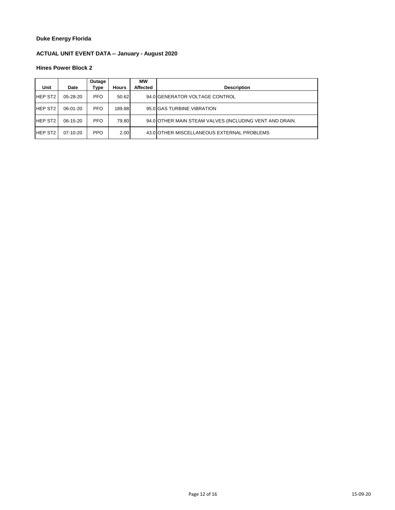# **ACTUAL UNIT EVENT DATA -- January - August 2020**

| Unit           | Date       | Outage<br>Type | <b>Hours</b> | <b>MW</b><br><b>Affected</b> | <b>Description</b>                                      |
|----------------|------------|----------------|--------------|------------------------------|---------------------------------------------------------|
| <b>HEP ST2</b> | $05-28-20$ | <b>PFO</b>     | 50.62        |                              | 94.0 GENERATOR VOLTAGE CONTROL                          |
| <b>HEP ST2</b> | 06-01-20   | <b>PFO</b>     | 189.88       |                              | 95.0 GAS TURBINE VIBRATION                              |
| <b>HEP ST2</b> | 06-15-20   | <b>PFO</b>     | 79.80        |                              | 94.0 OTHER MAIN STEAM VALVES (INCLUDING VENT AND DRAIN. |
| <b>HEP ST2</b> | $07-10-20$ | <b>PPO</b>     | 2.00         |                              | 43.0 OTHER MISCELLANEOUS EXTERNAL PROBLEMS              |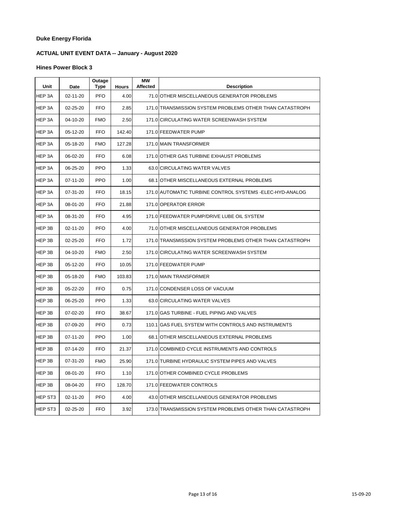# **ACTUAL UNIT EVENT DATA -- January - August 2020**

| Unit    | Date           | Outage<br>Type | <b>Hours</b> | <b>MW</b><br><b>Affected</b> | <b>Description</b>                                        |
|---------|----------------|----------------|--------------|------------------------------|-----------------------------------------------------------|
| HEP 3A  | 02-11-20       | <b>PFO</b>     | 4.00         |                              | 71.0 OTHER MISCELLANEOUS GENERATOR PROBLEMS               |
| HEP 3A  | 02-25-20       | <b>FFO</b>     | 2.85         |                              | 171.0 TRANSMISSION SYSTEM PROBLEMS OTHER THAN CATASTROPH  |
| HEP 3A  | 04-10-20       | <b>FMO</b>     | 2.50         |                              | 171.0 CIRCULATING WATER SCREENWASH SYSTEM                 |
| HEP 3A  | 05-12-20       | <b>FFO</b>     | 142.40       |                              | 171.0 FEEDWATER PUMP                                      |
| HEP 3A  | 05-18-20       | <b>FMO</b>     | 127.28       |                              | 171.0 MAIN TRANSFORMER                                    |
| HEP 3A  | 06-02-20       | <b>FFO</b>     | 6.08         |                              | 171.0 OTHER GAS TURBINE EXHAUST PROBLEMS                  |
| HEP 3A  | 06-25-20       | <b>PPO</b>     | 1.33         |                              | 63.0 CIRCULATING WATER VALVES                             |
| HEP 3A  | 07-11-20       | <b>PPO</b>     | 1.00         |                              | 68.1 OTHER MISCELLANEOUS EXTERNAL PROBLEMS                |
| HEP 3A  | 07-31-20       | <b>FFO</b>     | 18.15        |                              | 171.0 AUTOMATIC TURBINE CONTROL SYSTEMS - ELEC-HYD-ANALOG |
| HEP 3A  | 08-01-20       | <b>FFO</b>     | 21.88        |                              | 171.0 OPERATOR ERROR                                      |
| HEP 3A  | 08-31-20       | <b>FFO</b>     | 4.95         |                              | 171.0 FEEDWATER PUMP/DRIVE LUBE OIL SYSTEM                |
| HEP 3B  | $02 - 11 - 20$ | <b>PFO</b>     | 4.00         |                              | 71.0 OTHER MISCELLANEOUS GENERATOR PROBLEMS               |
| HEP 3B  | 02-25-20       | FFO            | 1.72         |                              | 171.0 TRANSMISSION SYSTEM PROBLEMS OTHER THAN CATASTROPH  |
| HEP 3B  | 04-10-20       | <b>FMO</b>     | 2.50         |                              | 171.0 CIRCULATING WATER SCREENWASH SYSTEM                 |
| HEP 3B  | 05-12-20       | <b>FFO</b>     | 10.05        |                              | 171.0 FEEDWATER PUMP                                      |
| HEP 3B  | 05-18-20       | <b>FMO</b>     | 103.83       |                              | 171.0 MAIN TRANSFORMER                                    |
| HEP 3B  | 05-22-20       | <b>FFO</b>     | 0.75         |                              | 171.0 CONDENSER LOSS OF VACUUM                            |
| HEP 3B  | 06-25-20       | <b>PPO</b>     | 1.33         |                              | 63.0 CIRCULATING WATER VALVES                             |
| HEP 3B  | 07-02-20       | <b>FFO</b>     | 38.67        |                              | 171.0 GAS TURBINE - FUEL PIPING AND VALVES                |
| HEP 3B  | 07-09-20       | <b>PFO</b>     | 0.73         |                              | 110.1 GAS FUEL SYSTEM WITH CONTROLS AND INSTRUMENTS       |
| HEP 3B  | 07-11-20       | <b>PPO</b>     | 1.00         |                              | 68.1 OTHER MISCELLANEOUS EXTERNAL PROBLEMS                |
| HEP 3B  | 07-14-20       | <b>FFO</b>     | 21.37        |                              | 171.0 COMBINED CYCLE INSTRUMENTS AND CONTROLS             |
| HEP 3B  | 07-31-20       | <b>FMO</b>     | 25.90        |                              | 171.0 TURBINE HYDRAULIC SYSTEM PIPES AND VALVES           |
| HEP 3B  | 08-01-20       | <b>FFO</b>     | 1.10         |                              | 171.0 OTHER COMBINED CYCLE PROBLEMS                       |
| HEP 3B  | 08-04-20       | FFO            | 128.70       |                              | 171.0 FEEDWATER CONTROLS                                  |
| HEP ST3 | 02-11-20       | <b>PFO</b>     | 4.00         |                              | 43.0 OTHER MISCELLANEOUS GENERATOR PROBLEMS               |
| HEP ST3 | 02-25-20       | FFO            | 3.92         |                              | 173.0 TRANSMISSION SYSTEM PROBLEMS OTHER THAN CATASTROPH  |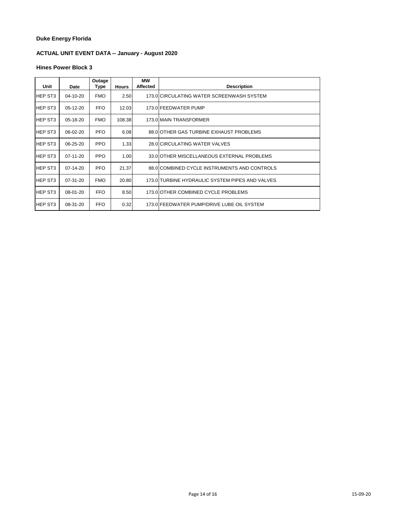# **ACTUAL UNIT EVENT DATA -- January - August 2020**

| Unit           | Date       | Outage<br>Type | <b>Hours</b> | МW<br><b>Affected</b> | <b>Description</b>                              |
|----------------|------------|----------------|--------------|-----------------------|-------------------------------------------------|
| <b>HEP ST3</b> | 04-10-20   | <b>FMO</b>     | 2.50         |                       | 173.0 CIRCULATING WATER SCREENWASH SYSTEM       |
| <b>HEP ST3</b> | $05-12-20$ | <b>FFO</b>     | 12.03        |                       | 173.0 FEEDWATER PUMP                            |
| <b>HEP ST3</b> | 05-18-20   | <b>FMO</b>     | 108.38       |                       | 173.0 MAIN TRANSFORMER                          |
| <b>HEP ST3</b> | 06-02-20   | <b>PFO</b>     | 6.08         |                       | 88.0 OTHER GAS TURBINE EXHAUST PROBLEMS         |
| <b>HEP ST3</b> | 06-25-20   | <b>PPO</b>     | 1.33         |                       | 28.0 CIRCULATING WATER VALVES                   |
| <b>HEP ST3</b> | 07-11-20   | <b>PPO</b>     | 1.00         |                       | 33.0 OTHER MISCELLANEOUS EXTERNAL PROBLEMS      |
| <b>HEP ST3</b> | 07-14-20   | <b>PFO</b>     | 21.37        |                       | 88.0 COMBINED CYCLE INSTRUMENTS AND CONTROLS    |
| <b>HEP ST3</b> | $07-31-20$ | <b>FMO</b>     | 20.80        |                       | 173.0 TURBINE HYDRAULIC SYSTEM PIPES AND VALVES |
| <b>HEP ST3</b> | 08-01-20   | <b>FFO</b>     | 8.50         |                       | 173.0 OTHER COMBINED CYCLE PROBLEMS             |
| IHEP ST3       | 08-31-20   | <b>FFO</b>     | 0.32         |                       | 173.0 FEEDWATER PUMP/DRIVE LUBE OIL SYSTEM      |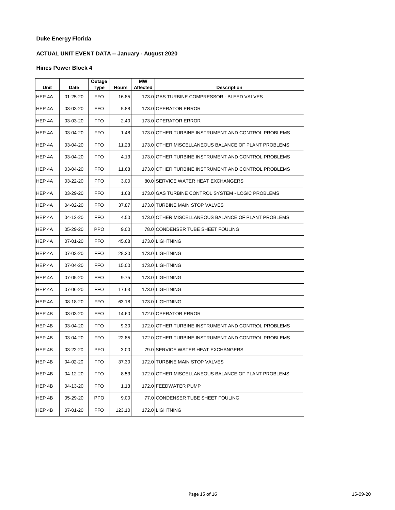# **ACTUAL UNIT EVENT DATA -- January - August 2020**

#### **Hines Power Block 4**

| Unit   | Date     | Outage<br>Type | <b>Hours</b> | МW<br>Affected | <b>Description</b>                                  |
|--------|----------|----------------|--------------|----------------|-----------------------------------------------------|
| HEP 4A | 01-25-20 | FFO            | 16.85        |                | 173.0 GAS TURBINE COMPRESSOR - BLEED VALVES         |
| HEP 4A | 03-03-20 | <b>FFO</b>     | 5.88         |                | 173.0 OPERATOR ERROR                                |
| HEP 4A | 03-03-20 | FFO            | 2.40         |                | 173.0 OPERATOR ERROR                                |
| HEP 4A | 03-04-20 | <b>FFO</b>     | 1.48         |                | 173.0 OTHER TURBINE INSTRUMENT AND CONTROL PROBLEMS |
| HEP 4A | 03-04-20 | <b>FFO</b>     | 11.23        |                | 173.0 OTHER MISCELLANEOUS BALANCE OF PLANT PROBLEMS |
| HEP 4A | 03-04-20 | <b>FFO</b>     | 4.13         |                | 173.0 OTHER TURBINE INSTRUMENT AND CONTROL PROBLEMS |
| HEP 4A | 03-04-20 | <b>FFO</b>     | 11.68        |                | 173.0 OTHER TURBINE INSTRUMENT AND CONTROL PROBLEMS |
| HEP 4A | 03-22-20 | <b>PFO</b>     | 3.00         |                | 80.0 SERVICE WATER HEAT EXCHANGERS                  |
| HEP 4A | 03-29-20 | <b>FFO</b>     | 1.63         |                | 173.0 GAS TURBINE CONTROL SYSTEM - LOGIC PROBLEMS   |
| HEP 4A | 04-02-20 | <b>FFO</b>     | 37.87        |                | 173.0 TURBINE MAIN STOP VALVES                      |
| HEP 4A | 04-12-20 | <b>FFO</b>     | 4.50         |                | 173.0 OTHER MISCELLANEOUS BALANCE OF PLANT PROBLEMS |
| HEP 4A | 05-29-20 | <b>PPO</b>     | 9.00         |                | 78.0 CONDENSER TUBE SHEET FOULING                   |
| HEP 4A | 07-01-20 | <b>FFO</b>     | 45.68        |                | 173.0 LIGHTNING                                     |
| HEP 4A | 07-03-20 | FFO            | 28.20        |                | 173.0 LIGHTNING                                     |
| HEP 4A | 07-04-20 | <b>FFO</b>     | 15.00        |                | 173.0 LIGHTNING                                     |
| HEP 4A | 07-05-20 | FFO            | 9.75         |                | 173.0 LIGHTNING                                     |
| HEP 4A | 07-06-20 | FFO            | 17.63        |                | 173.0 LIGHTNING                                     |
| HEP 4A | 08-18-20 | <b>FFO</b>     | 63.18        |                | 173.0 LIGHTNING                                     |
| HEP 4B | 03-03-20 | <b>FFO</b>     | 14.60        |                | 172.0 OPERATOR ERROR                                |
| HEP 4B | 03-04-20 | FFO            | 9.30         |                | 172.0 OTHER TURBINE INSTRUMENT AND CONTROL PROBLEMS |
| HEP 4B | 03-04-20 | FFO            | 22.85        |                | 172.0 OTHER TURBINE INSTRUMENT AND CONTROL PROBLEMS |
| HEP 4B | 03-22-20 | <b>PFO</b>     | 3.00         |                | 79.0 SERVICE WATER HEAT EXCHANGERS                  |
| HEP 4B | 04-02-20 | <b>FFO</b>     | 37.30        |                | 172.0 TURBINE MAIN STOP VALVES                      |
| HEP 4B | 04-12-20 | <b>FFO</b>     | 8.53         |                | 172.0 OTHER MISCELLANEOUS BALANCE OF PLANT PROBLEMS |
| HEP 4B | 04-13-20 | <b>FFO</b>     | 1.13         |                | 172.0 FEEDWATER PUMP                                |
| HEP 4B | 05-29-20 | <b>PPO</b>     | 9.00         |                | 77.0 CONDENSER TUBE SHEET FOULING                   |
| HEP 4B | 07-01-20 | <b>FFO</b>     | 123.10       |                | 172.0 LIGHTNING                                     |